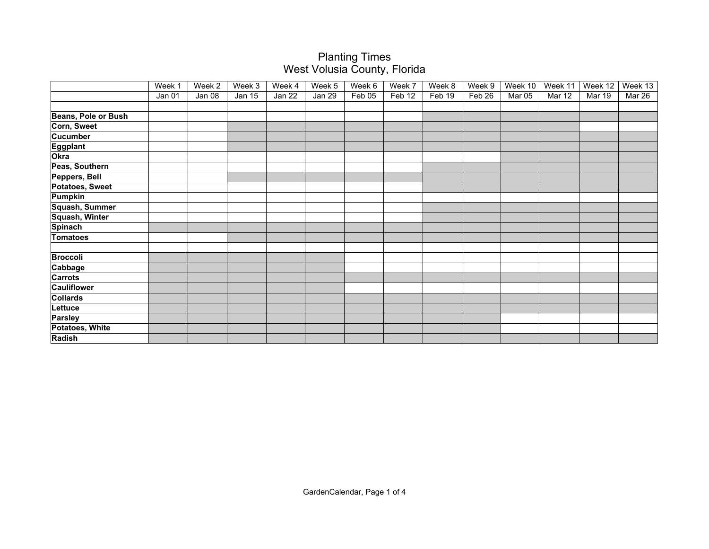|                     | Week 1 | Week 2 | Week 3        | Week 4 | Week 5 | Week 6 | Week 7 | Week 8 | Week 9 | Week 10 | Week 11 | Week 12 | Week 13 |
|---------------------|--------|--------|---------------|--------|--------|--------|--------|--------|--------|---------|---------|---------|---------|
|                     | Jan 01 | Jan 08 | <b>Jan 15</b> | Jan 22 | Jan 29 | Feb 05 | Feb 12 | Feb 19 | Feb 26 | Mar 05  | Mar 12  | Mar 19  | Mar 26  |
|                     |        |        |               |        |        |        |        |        |        |         |         |         |         |
| Beans, Pole or Bush |        |        |               |        |        |        |        |        |        |         |         |         |         |
| Corn, Sweet         |        |        |               |        |        |        |        |        |        |         |         |         |         |
| <b>Cucumber</b>     |        |        |               |        |        |        |        |        |        |         |         |         |         |
| Eggplant            |        |        |               |        |        |        |        |        |        |         |         |         |         |
| Okra                |        |        |               |        |        |        |        |        |        |         |         |         |         |
| Peas, Southern      |        |        |               |        |        |        |        |        |        |         |         |         |         |
| Peppers, Bell       |        |        |               |        |        |        |        |        |        |         |         |         |         |
| Potatoes, Sweet     |        |        |               |        |        |        |        |        |        |         |         |         |         |
| Pumpkin             |        |        |               |        |        |        |        |        |        |         |         |         |         |
| Squash, Summer      |        |        |               |        |        |        |        |        |        |         |         |         |         |
| Squash, Winter      |        |        |               |        |        |        |        |        |        |         |         |         |         |
| <b>Spinach</b>      |        |        |               |        |        |        |        |        |        |         |         |         |         |
| <b>Tomatoes</b>     |        |        |               |        |        |        |        |        |        |         |         |         |         |
|                     |        |        |               |        |        |        |        |        |        |         |         |         |         |
| <b>Broccoli</b>     |        |        |               |        |        |        |        |        |        |         |         |         |         |
| Cabbage             |        |        |               |        |        |        |        |        |        |         |         |         |         |
| <b>Carrots</b>      |        |        |               |        |        |        |        |        |        |         |         |         |         |
| <b>Cauliflower</b>  |        |        |               |        |        |        |        |        |        |         |         |         |         |
| Collards            |        |        |               |        |        |        |        |        |        |         |         |         |         |
| Lettuce             |        |        |               |        |        |        |        |        |        |         |         |         |         |
| Parsley             |        |        |               |        |        |        |        |        |        |         |         |         |         |
| Potatoes, White     |        |        |               |        |        |        |        |        |        |         |         |         |         |
| Radish              |        |        |               |        |        |        |        |        |        |         |         |         |         |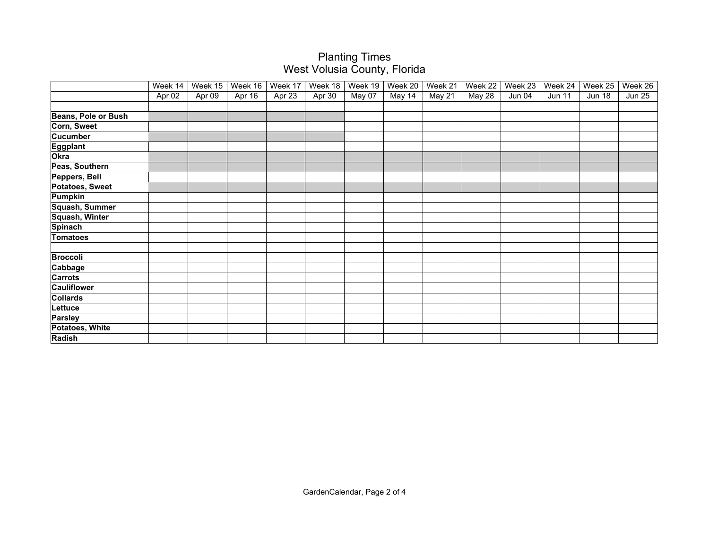|                     | Week 14 | Week 15 | Week $16$ | Week 17 | Week 18 | Week 19 | Week 20 | Week 21 | Week 22 | Week 23 | Week 24       | Week 25       | Week 26       |
|---------------------|---------|---------|-----------|---------|---------|---------|---------|---------|---------|---------|---------------|---------------|---------------|
|                     | Apr 02  | Apr 09  | Apr 16    | Apr 23  | Apr 30  | May 07  | May 14  | May 21  | May 28  | Jun 04  | <b>Jun 11</b> | <b>Jun 18</b> | <b>Jun 25</b> |
|                     |         |         |           |         |         |         |         |         |         |         |               |               |               |
| Beans, Pole or Bush |         |         |           |         |         |         |         |         |         |         |               |               |               |
| Corn, Sweet         |         |         |           |         |         |         |         |         |         |         |               |               |               |
| <b>Cucumber</b>     |         |         |           |         |         |         |         |         |         |         |               |               |               |
| <b>Eggplant</b>     |         |         |           |         |         |         |         |         |         |         |               |               |               |
| Okra                |         |         |           |         |         |         |         |         |         |         |               |               |               |
| Peas, Southern      |         |         |           |         |         |         |         |         |         |         |               |               |               |
| Peppers, Bell       |         |         |           |         |         |         |         |         |         |         |               |               |               |
| Potatoes, Sweet     |         |         |           |         |         |         |         |         |         |         |               |               |               |
| Pumpkin             |         |         |           |         |         |         |         |         |         |         |               |               |               |
| Squash, Summer      |         |         |           |         |         |         |         |         |         |         |               |               |               |
| Squash, Winter      |         |         |           |         |         |         |         |         |         |         |               |               |               |
| <b>Spinach</b>      |         |         |           |         |         |         |         |         |         |         |               |               |               |
| <b>Tomatoes</b>     |         |         |           |         |         |         |         |         |         |         |               |               |               |
| <b>Broccoli</b>     |         |         |           |         |         |         |         |         |         |         |               |               |               |
| Cabbage             |         |         |           |         |         |         |         |         |         |         |               |               |               |
| <b>Carrots</b>      |         |         |           |         |         |         |         |         |         |         |               |               |               |
| <b>Cauliflower</b>  |         |         |           |         |         |         |         |         |         |         |               |               |               |
| <b>Collards</b>     |         |         |           |         |         |         |         |         |         |         |               |               |               |
| Lettuce             |         |         |           |         |         |         |         |         |         |         |               |               |               |
|                     |         |         |           |         |         |         |         |         |         |         |               |               |               |
| Parsley             |         |         |           |         |         |         |         |         |         |         |               |               |               |
| Potatoes, White     |         |         |           |         |         |         |         |         |         |         |               |               |               |
| Radish              |         |         |           |         |         |         |         |         |         |         |               |               |               |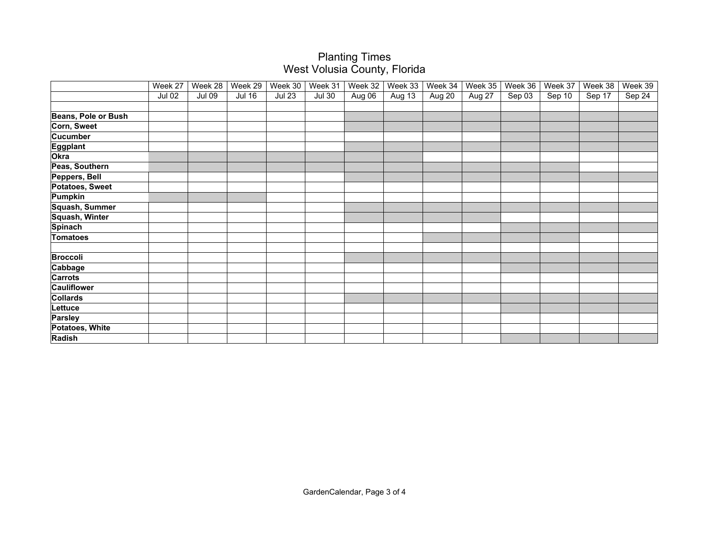|                     | Week 27       | Week 28       | Week 29       | Week 30       | Week 31       | Week 32 | Week 33 | Week 34 | Week 35 | Week 36 | Week 37 | Week 38 | Week 39 |
|---------------------|---------------|---------------|---------------|---------------|---------------|---------|---------|---------|---------|---------|---------|---------|---------|
|                     | <b>Jul 02</b> | <b>Jul 09</b> | <b>Jul 16</b> | <b>Jul 23</b> | <b>Jul 30</b> | Aug 06  | Aug 13  | Aug 20  | Aug 27  | Sep 03  | Sep 10  | Sep 17  | Sep 24  |
|                     |               |               |               |               |               |         |         |         |         |         |         |         |         |
| Beans, Pole or Bush |               |               |               |               |               |         |         |         |         |         |         |         |         |
| Corn, Sweet         |               |               |               |               |               |         |         |         |         |         |         |         |         |
| <b>Cucumber</b>     |               |               |               |               |               |         |         |         |         |         |         |         |         |
| <b>Eggplant</b>     |               |               |               |               |               |         |         |         |         |         |         |         |         |
| Okra                |               |               |               |               |               |         |         |         |         |         |         |         |         |
| Peas, Southern      |               |               |               |               |               |         |         |         |         |         |         |         |         |
| Peppers, Bell       |               |               |               |               |               |         |         |         |         |         |         |         |         |
| Potatoes, Sweet     |               |               |               |               |               |         |         |         |         |         |         |         |         |
| Pumpkin             |               |               |               |               |               |         |         |         |         |         |         |         |         |
| Squash, Summer      |               |               |               |               |               |         |         |         |         |         |         |         |         |
| Squash, Winter      |               |               |               |               |               |         |         |         |         |         |         |         |         |
| <b>Spinach</b>      |               |               |               |               |               |         |         |         |         |         |         |         |         |
| <b>Tomatoes</b>     |               |               |               |               |               |         |         |         |         |         |         |         |         |
|                     |               |               |               |               |               |         |         |         |         |         |         |         |         |
| <b>Broccoli</b>     |               |               |               |               |               |         |         |         |         |         |         |         |         |
| Cabbage             |               |               |               |               |               |         |         |         |         |         |         |         |         |
| <b>Carrots</b>      |               |               |               |               |               |         |         |         |         |         |         |         |         |
| <b>Cauliflower</b>  |               |               |               |               |               |         |         |         |         |         |         |         |         |
| Collards            |               |               |               |               |               |         |         |         |         |         |         |         |         |
| Lettuce             |               |               |               |               |               |         |         |         |         |         |         |         |         |
| Parsley             |               |               |               |               |               |         |         |         |         |         |         |         |         |
| Potatoes, White     |               |               |               |               |               |         |         |         |         |         |         |         |         |
| Radish              |               |               |               |               |               |         |         |         |         |         |         |         |         |